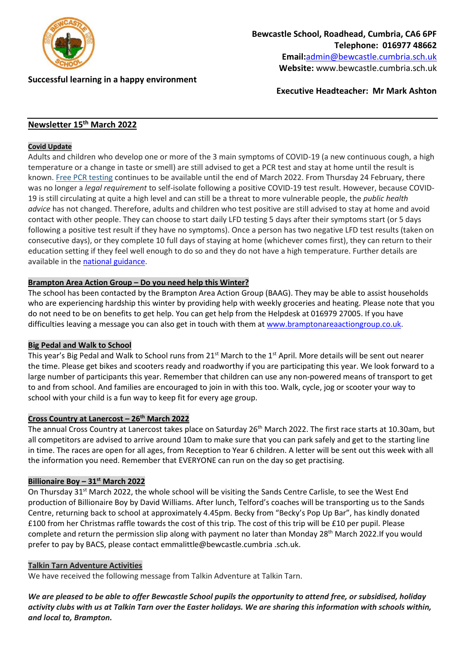

**Successful learning in a happy environment** 

**Executive Headteacher: Mr Mark Ashton**

# **Newsletter 15 th March 2022**

### **Covid Update**

Adults and children who develop one or more of the 3 main symptoms of COVID-19 (a new continuous cough, a high temperature or a change in taste or smell) are still advised to get a PCR test and stay at home until the result is known. Free PCR [testing](https://lnks.gd/l/eyJhbGciOiJIUzI1NiJ9.eyJidWxsZXRpbl9saW5rX2lkIjoxMDIsInVyaSI6ImJwMjpjbGljayIsImJ1bGxldGluX2lkIjoiMjAyMjAzMDcuNTQ1MDM5NzEiLCJ1cmwiOiJodHRwczovL3d3dy5uaHMudWsvY29uZGl0aW9ucy9jb3JvbmF2aXJ1cy1jb3ZpZC0xOS90ZXN0aW5nL2dldC10ZXN0ZWQtZm9yLWNvcm9uYXZpcnVzLyJ9.HkMsSYyCquJzbKeII_kra0v0DY920c5krAxu1gMHe-g/s/1123325185/br/127630488281-l) continues to be available until the end of March 2022. From Thursday 24 February, there was no longer a *legal requirement* to self-isolate following a positive COVID-19 test result. However, because COVID-19 is still circulating at quite a high level and can still be a threat to more vulnerable people, the *public health advice* has not changed. Therefore, adults and children who test positive are still advised to stay at home and avoid contact with other people. They can choose to start daily LFD testing 5 days after their symptoms start (or 5 days following a positive test result if they have no symptoms). Once a person has two negative LFD test results (taken on consecutive days), or they complete 10 full days of staying at home (whichever comes first), they can return to their education setting if they feel well enough to do so and they do not have a high temperature. Further details are available in the national [guidance.](https://lnks.gd/l/eyJhbGciOiJIUzI1NiJ9.eyJidWxsZXRpbl9saW5rX2lkIjoxMDMsInVyaSI6ImJwMjpjbGljayIsImJ1bGxldGluX2lkIjoiMjAyMjAzMDcuNTQ1MDM5NzEiLCJ1cmwiOiJodHRwczovL3d3dy5nb3YudWsvZ292ZXJubWVudC9wdWJsaWNhdGlvbnMvY292aWQtMTktcGVvcGxlLXdpdGgtY292aWQtMTktYW5kLXRoZWlyLWNvbnRhY3RzL2NvdmlkLTE5LXBlb3BsZS13aXRoLWNvdmlkLTE5LWFuZC10aGVpci1jb250YWN0cyJ9.m03npvU0sHKVzgzr0X715sNal_4vDxMN1_X4GkFRyyk/s/1123325185/br/127630488281-l)

## **Brampton Area Action Group – Do you need help this Winter?**

The school has been contacted by the Brampton Area Action Group (BAAG). They may be able to assist households who are experiencing hardship this winter by providing help with weekly groceries and heating. Please note that you do not need to be on benefits to get help. You can get help from the Helpdesk at 016979 27005. If you have difficulties leaving a message you can also get in touch with them a[t www.bramptonareaactiongroup.co.uk.](http://www.bramptonareaactiongroup.co.uk/)

## **Big Pedal and Walk to School**

This year's Big Pedal and Walk to School runs from 21<sup>st</sup> March to the 1<sup>st</sup> April. More details will be sent out nearer the time. Please get bikes and scooters ready and roadworthy if you are participating this year. We look forward to a large number of participants this year. Remember that children can use any non-powered means of transport to get to and from school. And families are encouraged to join in with this too. Walk, cycle, jog or scooter your way to school with your child is a fun way to keep fit for every age group.

#### **Cross Country at Lanercost – 26th March 2022**

The annual Cross Country at Lanercost takes place on Saturday 26<sup>th</sup> March 2022. The first race starts at 10.30am, but all competitors are advised to arrive around 10am to make sure that you can park safely and get to the starting line in time. The races are open for all ages, from Reception to Year 6 children. A letter will be sent out this week with all the information you need. Remember that EVERYONE can run on the day so get practising.

## **Billionaire Boy – 31st March 2022**

On Thursday 31<sup>st</sup> March 2022, the whole school will be visiting the Sands Centre Carlisle, to see the West End production of Billionaire Boy by David Williams. After lunch, Telford's coaches will be transporting us to the Sands Centre, returning back to school at approximately 4.45pm. Becky from "Becky's Pop Up Bar", has kindly donated £100 from her Christmas raffle towards the cost of this trip. The cost of this trip will be £10 per pupil. Please complete and return the permission slip along with payment no later than Monday 28th March 2022.If you would prefer to pay by BACS, please contact emmalittle@bewcastle.cumbria .sch.uk.

### **Talkin Tarn Adventure Activities**

We have received the following message from Talkin Adventure at Talkin Tarn.

*We are pleased to be able to offer Bewcastle School pupils the opportunity to attend free, or subsidised, holiday activity clubs with us at Talkin Tarn over the Easter holidays. We are sharing this information with schools within, and local to, Brampton.*